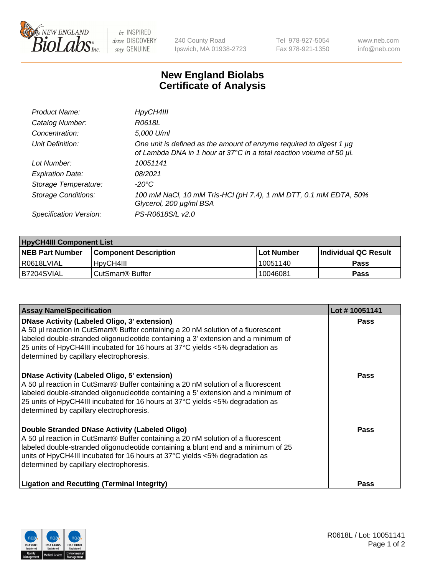

 $be$  INSPIRED drive DISCOVERY stay GENUINE

240 County Road Ipswich, MA 01938-2723 Tel 978-927-5054 Fax 978-921-1350 www.neb.com info@neb.com

## **New England Biolabs Certificate of Analysis**

| Product Name:              | HpyCH4III                                                                                                                                        |
|----------------------------|--------------------------------------------------------------------------------------------------------------------------------------------------|
| Catalog Number:            | R0618L                                                                                                                                           |
| Concentration:             | 5,000 U/ml                                                                                                                                       |
| Unit Definition:           | One unit is defined as the amount of enzyme required to digest 1 $\mu$ g<br>of Lambda DNA in 1 hour at 37°C in a total reaction volume of 50 µl. |
| Lot Number:                | 10051141                                                                                                                                         |
| <b>Expiration Date:</b>    | 08/2021                                                                                                                                          |
| Storage Temperature:       | -20°C                                                                                                                                            |
| <b>Storage Conditions:</b> | 100 mM NaCl, 10 mM Tris-HCl (pH 7.4), 1 mM DTT, 0.1 mM EDTA, 50%<br>Glycerol, 200 µg/ml BSA                                                      |
| Specification Version:     | PS-R0618S/L v2.0                                                                                                                                 |

| <b>HpyCH4III Component List</b> |                              |              |                             |  |  |
|---------------------------------|------------------------------|--------------|-----------------------------|--|--|
| <b>NEB Part Number</b>          | <b>Component Description</b> | l Lot Number | <b>Individual QC Result</b> |  |  |
| l R0618LVIAL                    | HpyCH4III                    | 10051140     | <b>Pass</b>                 |  |  |
| B7204SVIAL                      | l CutSmart® Buffer           | 10046081     | Pass                        |  |  |

| <b>Assay Name/Specification</b>                                                                                                                                                                                                                                                                                                                       | Lot #10051141 |
|-------------------------------------------------------------------------------------------------------------------------------------------------------------------------------------------------------------------------------------------------------------------------------------------------------------------------------------------------------|---------------|
| DNase Activity (Labeled Oligo, 3' extension)<br>A 50 µl reaction in CutSmart® Buffer containing a 20 nM solution of a fluorescent<br>abeled double-stranded oligonucleotide containing a 3' extension and a minimum of<br>25 units of HpyCH4III incubated for 16 hours at 37°C yields <5% degradation as<br>determined by capillary electrophoresis.  | <b>Pass</b>   |
| DNase Activity (Labeled Oligo, 5' extension)<br>A 50 µl reaction in CutSmart® Buffer containing a 20 nM solution of a fluorescent<br>labeled double-stranded oligonucleotide containing a 5' extension and a minimum of<br>25 units of HpyCH4III incubated for 16 hours at 37°C yields <5% degradation as<br>determined by capillary electrophoresis. | <b>Pass</b>   |
| Double Stranded DNase Activity (Labeled Oligo)<br>A 50 µl reaction in CutSmart® Buffer containing a 20 nM solution of a fluorescent<br>labeled double-stranded oligonucleotide containing a blunt end and a minimum of 25<br>units of HpyCH4III incubated for 16 hours at 37°C yields <5% degradation as<br>determined by capillary electrophoresis.  | <b>Pass</b>   |
| <b>Ligation and Recutting (Terminal Integrity)</b>                                                                                                                                                                                                                                                                                                    | Pass          |